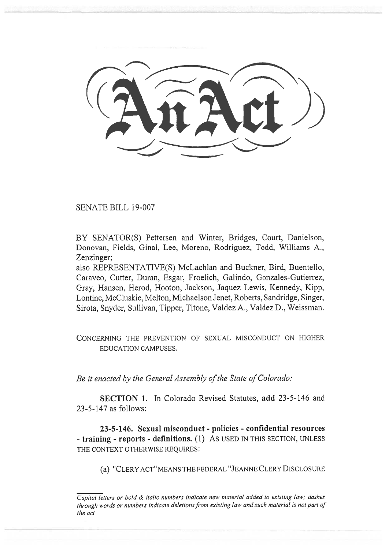SENATE BILL 19-007

BY SENATOR(S) Pettersen and Winter, Bridges, Court, Danielson, Donovan, Fields, Ginal, Lee, Moreno, Rodriguez, Todd, Williams A., Zenzinger;

also REPRESENTATIVE(S) McLachlan and Buckner, Bird, Buentello, Caraveo, Cutter, Duran, Esgar, Froelich, Galindo, Gonzales-Gutierrez, Gray, Hansen, Herod, Hooton, Jackson, Jaquez Lewis, Kennedy, Kipp, Lontine, McCluskie, Melton, Michaelson Jenet, Roberts, Sandridge, Singer, Sirota, Snyder, Sullivan, Tipper, Titone, Valdez A., Valdez D., Weissman.

CONCERNING THE PREVENTION OF SEXUAL MISCONDUCT ON HIGHER EDUCATION CAMPUSES.

*Be it enacted by the General Assembly of the State of Colorado:* 

**SECTION 1.** In Colorado Revised Statutes, **add** 23-5-146 and 23-5-147 as follows:

**23-5-146. Sexual misconduct - policies - confidential resources - training - reports - definitions.** (1) **AS** USED IN THIS SECTION, UNLESS THE CONTEXT OTHERWISE REQUIRES:

(a) "CLERY ACT" MEANS THE FEDERAL "JEANNE CLERY DISCLOSURE

*Capital letters or bold & italic numbers indicate new material added to existing law; dashes through words or numbers indicate deletions from existing law and such material is not part of the act.*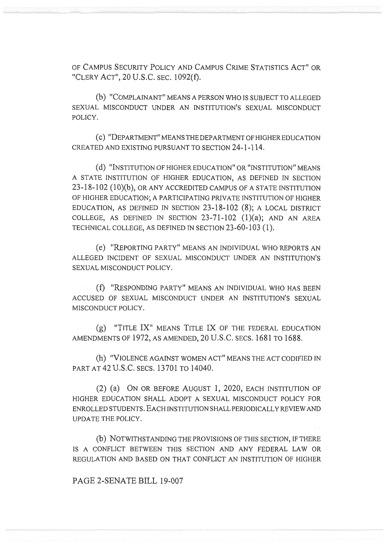OF CAMPUS SECURITY POLICY AND CAMPUS CRIME STATISTICS ACT" OR "CLERY ACT", 20 U.S.C. SEC. 1092(f).

(b) "COMPLAINANT" MEANS A PERSON WHO IS SUBJECT TO ALLEGED SEXUAL MISCONDUCT UNDER AN INSTITUTION'S SEXUAL MISCONDUCT POLICY.

(C) "DEPARTMENT" MEANS THE DEPARTMENT OF HIGHER EDUCATION CREATED AND EXISTING PURSUANT TO SECTION 24-1-114.

(d) "INSTITUTION OF HIGHER EDUCATION" OR "INSTITUTION" MEANS A STATE INSTITUTION OF HIGHER EDUCATION, AS DEFINED IN SECTION 23-18-102 (10)(b), OR ANY ACCREDITED CAMPUS OF A STATE INSTITUTION OF HIGHER EDUCATION; A PARTICIPATING PRIVATE INSTITUTION OF HIGHER EDUCATION, AS DEFINED IN SECTION 23-18-102 (8); A LOCAL DISTRICT COLLEGE, AS DEFINED IN SECTION  $23-71-102$  (1)(a); AND AN AREA TECHNICAL COLLEGE, AS DEFINED IN SECTION 23-60-103 (1).

(e) "REPORTING PARTY" MEANS AN INDIVIDUAL WHO REPORTS AN ALLEGED INCIDENT OF SEXUAL MISCONDUCT UNDER AN INSTITUTION'S SEXUAL MISCONDUCT POLICY.

(f) "RESPONDING PARTY" MEANS AN INDIVIDUAL WHO HAS BEEN ACCUSED OF SEXUAL MISCONDUCT UNDER AN INSTITUTION'S SEXUAL MISCONDUCT POLICY.

(g) "TITLE IX" MEANS TITLE IX OF THE FEDERAL EDUCATION AMENDMENTS OF 1972, AS AMENDED, 20 U.S.C. SECS. 1681 TO 1688.

(h) "VIOLENCE AGAINST WOMEN ACT" MEANS THE ACT CODIFIED IN PART AT 42 U.S.C. SECS. 13701 TO 14040.

(2) (a) ON OR BEFORE AUGUST 1, 2020, EACH INSTITUTION OF HIGHER EDUCATION SHALL ADOPT A SEXUAL MISCONDUCT POLICY FOR ENROLLED STUDENTS. EACH INSTITUTION SHALL PERIODICALLY REVIEW AND UPDATE THE POLICY.

(b) NOTWITHSTANDING THE PROVISIONS OF THIS SECTION, IF THERE IS A CONFLICT BETWEEN THIS SECTION AND ANY FEDERAL LAW OR REGULATION AND BASED ON THAT CONFLICT AN INSTITUTION OF HIGHER

PAGE 2-SENATE BILL 19-007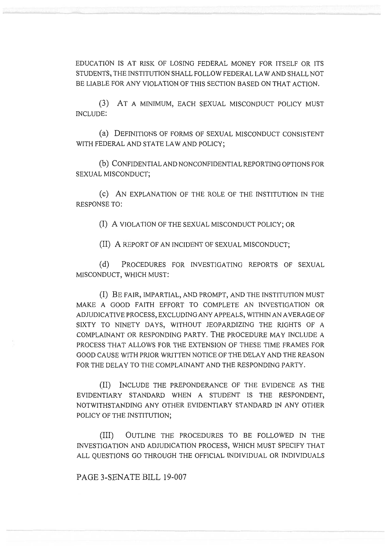EDUCATION IS AT RISK OF LOSING FEDERAL MONEY FOR ITSELF OR ITS STUDENTS, THE INSTITUTION SHALL FOLLOW FEDERAL LAW AND SHALL NOT BE LIABLE FOR ANY VIOLATION OF THIS SECTION BASED ON THAT ACTION.

(3) AT A MINIMUM, EACH SEXUAL MISCONDUCT POLICY MUST INCLUDE:

(a) DEFINITIONS OF FORMS OF SEXUAL MISCONDUCT CONSISTENT WITH FEDERAL AND STATE LAW AND POLICY;

(b) CONFIDENTIAL AND NONCONFIDENTIAL REPORTING OPTIONS FOR SEXUAL MISCONDUCT;

(c) AN EXPLANATION OF THE ROLE OF THE INSTITUTION IN THE RESPONSE TO:

(I) A VIOLATION OF THE SEXUAL MISCONDUCT POLICY; OR

(II) A REPORT OF AN INCIDENT OF SEXUAL MISCONDUCT;

(d) PROCEDURES FOR INVESTIGATING REPORTS OF SEXUAL MISCONDUCT, WHICH MUST:

(I) BE FAIR, IMPARTIAL, AND PROMPT, AND THE INSTITUTION MUST MAKE A GOOD FAITH EFFORT TO COMPLETE AN INVESTIGATION OR ADJUDICATIVE PROCESS, EXCLUDING ANY APPEALS, WITHIN AN AVERAGE OF SIXTY TO NINETY DAYS, WITHOUT JEOPARDIZING THE RIGHTS OF A COMPLAINANT OR RESPONDING PARTY. THE PROCEDURE MAY INCLUDE A PROCESS THAT ALLOWS FOR THE EXTENSION OF THESE TIME FRAMES FOR GOOD CAUSE WITH PRIOR WRITTEN NOTICE OF THE DELAY AND THE REASON FOR THE DELAY TO THE COMPLAINANT AND THE RESPONDING PARTY.

(II) INCLUDE THE PREPONDERANCE OF THE EVIDENCE AS THE EVIDENTIARY STANDARD WHEN A STUDENT IS THE RESPONDENT, NOTWITHSTANDING ANY OTHER EVIDENTIARY STANDARD IN ANY OTHER POLICY OF THE INSTITUTION;

(III) OUTLINE THE PROCEDURES TO BE FOLLOWED IN THE INVESTIGATION AND ADJUDICATION PROCESS, WHICH MUST SPECIFY THAT ALL QUESTIONS GO THROUGH THE OFFICIAL INDIVIDUAL OR INDIVIDUALS

PAGE 3-SENATE BILL 19-007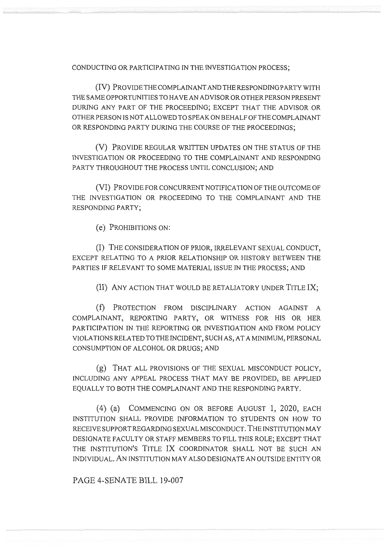CONDUCTING OR PARTICIPATING IN THE INVESTIGATION PROCESS;

(IV) PROVIDE THE COMPLAINANT AND THE RESPONDING PARTY WITH THE SAME OPPORTUNITIES TO HAVE AN ADVISOR OR OTHER PERSON PRESENT DURING ANY PART OF THE PROCEEDING; EXCEPT THAT THE ADVISOR OR OTHER PERSON IS NOT ALLOWED TO SPEAK ON BEHALF OF THE COMPLAINANT OR RESPONDING PARTY DURING THE COURSE OF THE PROCEEDINGS;

(V) PROVIDE REGULAR WRITTEN UPDATES ON THE STATUS OF THE INVESTIGATION OR PROCEEDING TO THE COMPLAINANT AND RESPONDING PARTY THROUGHOUT THE PROCESS UNTIL CONCLUSION; AND

(VI) PROVIDE FOR CONCURRENT NOTIFICATION OF THE OUTCOME OF THE INVESTIGATION OR PROCEEDING TO THE COMPLAINANT AND THE RESPONDING PARTY;

(e) PROHIBITIONS ON:

(I) THE CONSIDERATION OF PRIOR, IRRELEVANT SEXUAL CONDUCT, EXCEPT RELATING TO A PRIOR RELATIONSHIP OR HISTORY BETWEEN THE PARTIES IF RELEVANT TO SOME MATERIAL ISSUE IN THE PROCESS; AND

(II) ANY ACTION THAT **WOULD BE RETALIATORY UNDER TITLE IX;** 

(f) PROTECTION FROM DISCIPLINARY ACTION AGAINST A COMPLAINANT, REPORTING PARTY, OR WITNESS FOR HIS OR HER PARTICIPATION IN THE REPORTING OR INVESTIGATION AND FROM POLICY VIOLATIONS RELATED TO THE INCIDENT, SUCH AS, AT A MINIMUM, PERSONAL CONSUMPTION OF ALCOHOL OR DRUGS; AND

(g) THAT ALL PROVISIONS OF THE SEXUAL MISCONDUCT POLICY, INCLUDING ANY APPEAL PROCESS THAT MAY BE PROVIDED, BE APPLIED EQUALLY TO BOTH THE COMPLAINANT AND THE RESPONDING PARTY.

(4) (a) COMMENCING ON OR BEFORE AUGUST 1, 2020, EACH INSTITUTION SHALL PROVIDE INFORMATION TO STUDENTS ON HOW TO RECEIVE SUPPORT REGARDING SEXUAL MISCONDUCT. THE INSTITUTION MAY DESIGNATE FACULTY OR STAFF MEMBERS TO FILL THIS ROLE; EXCEPT THAT THE INSTITUTION'S TITLE IX COORDINATOR SHALL NOT BE SUCH AN INDIVIDUAL. ANINSTITUTION MAY ALSO DESIGNATE AN OUTSIDE ENTITY OR

PAGE 4-SENATE BILL 19-007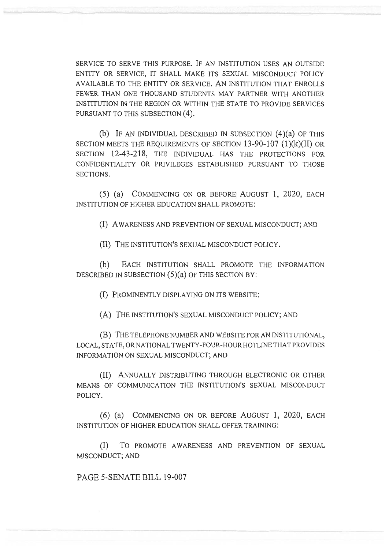SERVICE TO SERVE THIS PURPOSE. IF AN INSTITUTION USES AN OUTSIDE ENTITY OR SERVICE, IT SHALL MAKE ITS SEXUAL MISCONDUCT POLICY AVAILABLE TO THE ENTITY OR SERVICE. ANINSTITUTION THAT ENROLLS FEWER THAN ONE THOUSAND STUDENTS MAY PARTNER WITH ANOTHER INSTITUTION IN THE REGION OR WITHIN THE STATE TO PROVIDE SERVICES PURSUANT TO THIS SUBSECTION (4).

(b) IF AN INDIVIDUAL DESCRIBED IN SUBSECTION (4)(a) OF THIS SECTION MEETS THE REQUIREMENTS OF SECTION 13-90-107 (1)(k)(II) OR SECTION 12-43-218, THE INDIVIDUAL HAS THE PROTECTIONS FOR CONFIDENTIALITY OR PRIVILEGES ESTABLISHED PURSUANT TO THOSE SECTIONS.

(5) (a) COMMENCING ON OR BEFORE AUGUST 1, 2020, EACH INSTITUTION OF HIGHER EDUCATION SHALL PROMOTE:

(I) AWARENESS AND PREVENTION OF SEXUAL MISCONDUCT; AND

(II) THE INSTITUTION'S SEXUAL MISCONDUCT POLICY.

(b) EACH INSTITUTION SHALL PROMOTE THE INFORMATION DESCRIBED IN SUBSECTION  $(5)(a)$  OF THIS SECTION BY:

(I) PROMINENTLY DISPLAYING ON ITS WEBSITE:

(A) THE INSTITUTION'S SEXUAL MISCONDUCT POLICY; AND

(B) THE TELEPHONE NUMBER AND WEBSITE FOR AN INSTITUTIONAL, LOCAL, STATE, OR NATIONAL TWENTY-FOUR-HOUR HOTLINE THAT PROVIDES INFORMATION ON SEXUAL MISCONDUCT; AND

(II) ANNUALLY DISTRIBUTING THROUGH ELECTRONIC OR OTHER MEANS OF COMMUNICATION THE INSTITUTION'S SEXUAL MISCONDUCT POLICY.

(6) (a) COMMENCING ON OR BEFORE AUGUST 1, 2020, EACH INSTITUTION OF HIGHER EDUCATION SHALL OFFER TRAINING:

(I) To PROMOTE AWARENESS AND PREVENTION OF SEXUAL MISCONDUCT; AND

PAGE 5-SENATE BILL 19-007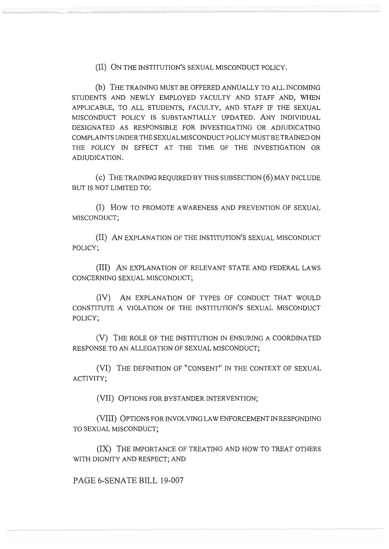(II) ON THE INSTITUTION'S SEXUAL MISCONDUCT POLICY.

(b) THE TRAINING MUST BE OFFERED ANNUALLY TO ALL INCOMING STUDENTS AND NEWLY EMPLOYED FACULTY AND STAFF AND, WHEN APPLICABLE, TO ALL STUDENTS, FACULTY, AND STAFF IF THE SEXUAL MISCONDUCT POLICY IS SUBSTANTIALLY UPDATED. ANY INDIVIDUAL DESIGNATED AS RESPONSIBLE FOR INVESTIGATING OR ADJUDICATING COMPLAINTS UNDER THE SEXUAL MISCONDUCT POLICY MUST BE TRAINED ON THE POLICY IN EFFECT AT THE TIME OF THE INVESTIGATION OR ADJUDICATION.

(c) THE TRAINING REQUIRED BY THIS SUBSECTION (6) MAY INCLUDE BUT IS NOT LIMITED TO:

(I) How TO PROMOTE AWARENESS AND PREVENTION OF SEXUAL MISCONDUCT;

(II) AN EXPLANATION OF THE INSTITUTION'S SEXUAL MISCONDUCT POLICY;

(III) AN EXPLANATION OF RELEVANT STATE AND FEDERAL LAWS CONCERNING SEXUAL MISCONDUCT;

(IV) AN EXPLANATION OF TYPES OF CONDUCT THAT WOULD CONSTITUTE A VIOLATION OF THE INSTITUTION'S SEXUAL MISCONDUCT POLICY;

(V) THE ROLE OF THE INSTITUTION IN ENSURING A COORDINATED RESPONSE TO AN ALLEGATION OF SEXUAL MISCONDUCT;

(VI) THE DEFINITION OF "CONSENT" IN THE CONTEXT OF SEXUAL ACTIVITY;

(VII) OPTIONS FOR BYSTANDER INTERVENTION;

(VIII) OPTIONS FOR INVOLVING LAW ENFORCEMENT IN RESPONDING TO SEXUAL MISCONDUCT;

(IX) THE IMPORTANCE OF TREATING AND HOW TO TREAT OTHERS WITH DIGNITY AND RESPECT; AND

PAGE 6-SENATE BILL 19-007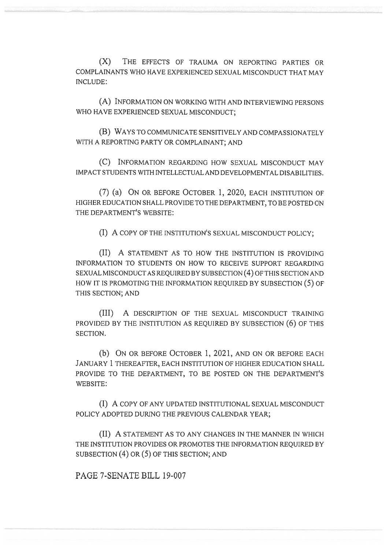(X) THE EFFECTS OF TRAUMA ON REPORTING PARTIES OR COMPLAINANTS WHO HAVE EXPERIENCED SEXUAL MISCONDUCT THAT MAY INCLUDE:

(A) INFORMATION ON WORKING WITH AND INTERVIEWING PERSONS WHO HAVE EXPERIENCED SEXUAL MISCONDUCT;

(B) WAYS TO COMMUNICATE SENSITIVELY AND COMPASSIONATELY WITH A REPORTING PARTY OR COMPLAINANT; AND

(C) INFORMATION REGARDING HOW SEXUAL MISCONDUCT MAY IMPACT STUDENTS WITH INTELLECTUAL AND DEVELOPMENTAL DISABILITIES.

(7) (a) ON OR BEFORE OCTOBER 1, 2020, EACH INSTITUTION OF HIGHER EDUCATION SHALL PROVIDE TO THE DEPARTMENT, TO BE POSTED ON THE DEPARTMENT'S WEBSITE:

(I) A COPY OF THE INSTITUTION'S SEXUAL MISCONDUCT POLICY;

(II) A STATEMENT AS TO HOW THE INSTITUTION IS PROVIDING INFORMATION TO STUDENTS ON HOW TO RECEIVE SUPPORT REGARDING SEXUAL MISCONDUCT AS REQUIRED BY SUBSECTION (4) OF THIS SECTION AND HOW IT IS PROMOTING THE INFORMATION REQUIRED BY SUBSECTION (5) OF THIS SECTION; AND

(III) A DESCRIPTION OF THE SEXUAL MISCONDUCT TRAINING PROVIDED BY THE INSTITUTION AS REQUIRED BY SUBSECTION (6) OF THIS SECTION.

(b) ON OR BEFORE OCTOBER 1, 2021, AND ON OR BEFORE EACH JANUARY 1 THEREAFTER, EACH INSTITUTION OF HIGHER EDUCATION SHALL PROVIDE TO THE DEPARTMENT, TO BE POSTED ON THE DEPARTMENT'S WEBSITE:

(I) A COPY OF ANY UPDATED INSTITUTIONAL SEXUAL MISCONDUCT POLICY ADOPTED DURING THE PREVIOUS CALENDAR YEAR;

(II) A STATEMENT AS TO ANY CHANGES IN THE MANNER IN WHICH THE INSTITUTION PROVIDES OR PROMOTES THE INFORMATION REQUIRED BY SUBSECTION (4) OR (5) OF THIS SECTION; AND

PAGE 7-SENATE BILL 19-007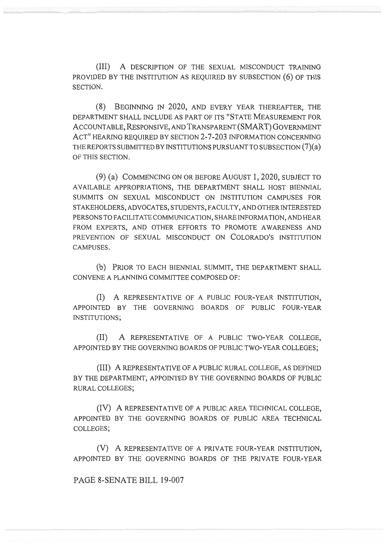(III) A DESCRIPTION OF THE SEXUAL MISCONDUCT TRAINING PROVIDED BY THE INSTITUTION AS REQUIRED BY SUBSECTION (6) OF THIS SECTION.

(8) BEGINNING IN 2020, AND EVERY YEAR THEREAFTER, THE DEPARTMENT SHALL INCLUDE AS PART OF ITS "STATE MEASUREMENT FOR ACCOUNTABLE, RESPONSIVE, AND TRANSPARENT (SMART) GOVERNMENT ACT" HEARING REQUIRED BY SECTION 2-7-203 INFORMATION CONCERNING THE REPORTS SUBMITTED BY INSTITUTIONS PURSUANT TO SUBSECTION (7)(a) OF THIS SECTION.

(9) (a) COMMENCING ON OR BEFORE AUGUST 1, 2020, SUBJECT TO AVAILABLE APPROPRIATIONS, THE DEPARTMENT SHALL HOST BIENNIAL SUMMITS ON SEXUAL MISCONDUCT ON INSTITUTION CAMPUSES FOR STAKEHOLDERS, ADVOCATES, STUDENTS, FACULTY, AND OTHER INTERESTED PERSONS TO FACILITATE COMMUNICATION, SHARE INFORMATION, AND HEAR FROM EXPERTS, AND OTHER EFFORTS TO PROMOTE AWARENESS AND PREVENTION OF SEXUAL MISCONDUCT ON COLORADO'S INSTITUTION CAMPUSES.

(b) PRIOR TO EACH BIENNIAL SUMMIT, THE DEPARTMENT SHALL CONVENE A PLANNING COMMITTEE COMPOSED OF:

(I) A REPRESENTATIVE OF A PUBLIC FOUR-YEAR INSTITUTION, APPOINTED BY THE GOVERNING BOARDS OF PUBLIC FOUR-YEAR INSTITUTIONS;

(II) A REPRESENTATIVE OF A PUBLIC TWO-YEAR COLLEGE, APPOINTED BY THE GOVERNING BOARDS OF PUBLIC TWO-YEAR COLLEGES;

(III) A REPRESENTATIVE OF A PUBLIC RURAL COLLEGE, AS DEFINED BY THE DEPARTMENT, APPOINTED BY THE GOVERNING BOARDS OF PUBLIC RURAL COLLEGES;

(IV) A REPRESENTATIVE OF A PUBLIC AREA TECHNICAL COLLEGE, APPOINTED BY THE GOVERNING BOARDS OF PUBLIC AREA TECHNICAL COLLEGES;

(V) A REPRESENTATIVE OF A PRIVATE FOUR-YEAR INSTITUTION, APPOINTED BY THE GOVERNING BOARDS OF THE PRIVATE FOUR-YEAR

PAGE 8-SENATE BILL 19-007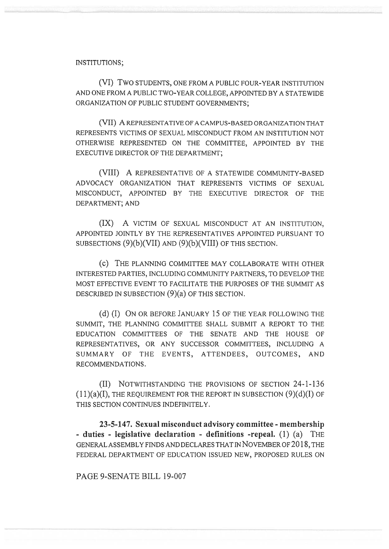## INSTITUTIONS;

(VI) Two STUDENTS, ONE FROM A PUBLIC FOUR-YEAR INSTITUTION AND ONE FROM A PUBLIC TWO-YEAR COLLEGE, APPOINTED BY A STATEWIDE ORGANIZATION OF PUBLIC STUDENT GOVERNMENTS;

(VII) A REPRESENTATIVE OF A CAMPUS-BASED ORGANIZATION THAT REPRESENTS VICTIMS OF SEXUAL MISCONDUCT FROM AN INSTITUTION NOT OTHERWISE REPRESENTED ON THE COMMITTEE, APPOINTED BY THE EXECUTIVE DIRECTOR OF THE DEPARTMENT;

(VIII) A REPRESENTATIVE OF A STATEWIDE COMMUNITY-BASED ADVOCACY ORGANIZATION THAT REPRESENTS VICTIMS OF SEXUAL MISCONDUCT, APPOINTED BY THE EXECUTIVE DIRECTOR OF THE DEPARTMENT; AND

(IX) A VICTIM OF SEXUAL MISCONDUCT AT AN INSTITUTION, APPOINTED JOINTLY BY THE REPRESENTATIVES APPOINTED PURSUANT TO SUBSECTIONS (9)(b)(VII) AND (9)(b)(VIII) OF THIS SECTION.

(c) THE PLANNING COMMITTEE MAY COLLABORATE WITH OTHER INTERESTED PARTIES, INCLUDING COMMUNITY PARTNERS, TO DEVELOP THE MOST EFFECTIVE EVENT TO FACILITATE THE PURPOSES OF THE SUMMIT AS DESCRIBED IN SUBSECTION (9)(a) OF THIS SECTION.

(d) (I) ON OR BEFORE JANUARY 15 OF THE YEAR FOLLOWING THE SUMMIT, THE PLANNING COMMITTEE SHALL SUBMIT A REPORT TO THE EDUCATION COMMITTEES OF THE SENATE AND THE HOUSE OF REPRESENTATIVES, OR ANY SUCCESSOR COMMITTEES, INCLUDING A SUMMARY OF THE EVENTS, ATTENDEES, OUTCOMES, AND RECOMMENDATIONS.

(II) NOTWITHSTANDING THE PROVISIONS OF SECTION 24-1-136  $(11)(a)(I)$ , THE REQUIREMENT FOR THE REPORT IN SUBSECTION  $(9)(d)(I)$  OF THIS SECTION CONTINUES INDEFINITELY.

**23-5-147. Sexual misconduct advisory committee - membership - duties - legislative declaration - definitions -repeal.** (1) (a) THE GENERAL ASSEMBLY FINDS AND DECLARES THAT IN NOVEMBER OF 2018, THE FEDERAL DEPARTMENT OF EDUCATION ISSUED NEW, PROPOSED RULES ON

PAGE 9-SENATE BILL 19-007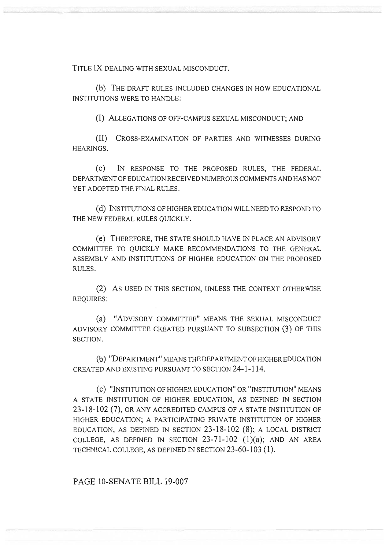TITLE IX DEALING WITH SEXUAL MISCONDUCT.

(b) THE DRAFT RULES INCLUDED CHANGES IN HOW EDUCATIONAL INSTITUTIONS WERE TO HANDLE:

(I) ALLEGATIONS OF OFF-CAMPUS SEXUAL MISCONDUCT; AND

(II) CROSS-EXAMINATION OF PARTIES AND WITNESSES DURING HEARINGS.

(C) IN RESPONSE TO THE PROPOSED RULES, THE FEDERAL DEPARTMENT OF EDUCATION RECEIVED NUMEROUS COMMENTS AND HAS NOT YET ADOPTED THE FINAL RULES.

(d) INSTITUTIONS OF HIGHER EDUCATION WILL NEED TO RESPOND TO THE NEW FEDERAL RULES QUICKLY.

(e) THEREFORE, THE STATE SHOULD HAVE IN PLACE AN ADVISORY COMMITTEE TO QUICKLY MAKE RECOMMENDATIONS TO THE GENERAL ASSEMBLY AND INSTITUTIONS OF HIGHER EDUCATION ON THE PROPOSED RULES.

(2) AS USED IN THIS SECTION, UNLESS THE CONTEXT OTHERWISE REQUIRES:

(a) "ADVISORY COMMITTEE" MEANS THE SEXUAL MISCONDUCT ADVISORY COMMITTEE CREATED PURSUANT TO SUBSECTION (3) OF THIS SECTION.

(b) "DEPARTMENT" MEANS THE DEPARTMENT OF HIGHER EDUCATION CREATED AND EXISTING PURSUANT TO SECTION 24-1-114.

(C) "INSTITUTION OF HIGHER EDUCATION" OR "INSTITUTION" MEANS A STATE INSTITUTION OF HIGHER EDUCATION, AS DEFINED IN SECTION 23-18-102 (7), OR ANY ACCREDITED CAMPUS OF A STATE INSTITUTION OF HIGHER EDUCATION; A PARTICIPATING PRIVATE INSTITUTION OF HIGHER EDUCATION, AS DEFINED IN SECTION 23-18-102 (8); A LOCAL DISTRICT COLLEGE, AS DEFINED IN SECTION  $23-71-102$  (1)(a); AND AN AREA TECHNICAL COLLEGE, AS DEFINED IN SECTION 23-60-103 (1).

PAGE 10-SENATE BILL 19-007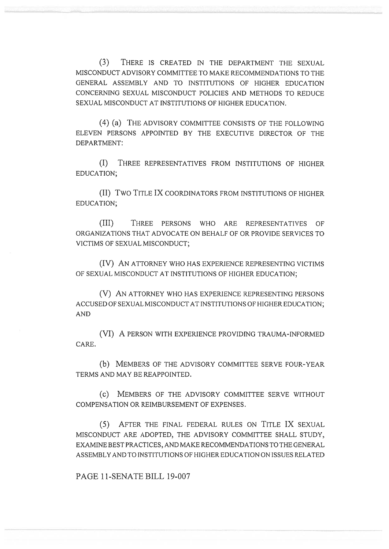(3) THERE IS CREATED IN THE DEPARTMENT THE SEXUAL MISCONDUCT ADVISORY COMMITTEE TO MAKE RECOMMENDATIONS TO THE GENERAL ASSEMBLY AND TO INSTITUTIONS OF HIGHER EDUCATION CONCERNING SEXUAL MISCONDUCT POLICIES AND METHODS TO REDUCE SEXUAL MISCONDUCT AT INSTITUTIONS OF HIGHER EDUCATION.

(4) (a) THE ADVISORY COMMITTEE CONSISTS OF THE FOLLOWING ELEVEN PERSONS APPOINTED BY THE EXECUTIVE DIRECTOR OF THE DEPARTMENT:

(I) THREE REPRESENTATIVES FROM INSTITUTIONS OF HIGHER EDUCATION;

(II) Two TITLE IX COORDINATORS FROM INSTITUTIONS OF HIGHER EDUCATION;

(III) THREE PERSONS WHO ARE REPRESENTATIVES OF ORGANIZATIONS THAT ADVOCATE ON BEHALF OF OR PROVIDE SERVICES TO VICTIMS OF SEXUAL MISCONDUCT;

(IV) AN ATTORNEY WHO HAS EXPERIENCE REPRESENTING VICTIMS OF SEXUAL MISCONDUCT AT INSTITUTIONS OF HIGHER EDUCATION;

(V) AN ATTORNEY WHO HAS EXPERIENCE REPRESENTING PERSONS ACCUSED OF SEXUAL MISCONDUCT AT INSTITUTIONS OF HIGHER EDUCATION; AND

(VI) A PERSON WITH EXPERIENCE PROVIDING TRAUMA-INFORMED CARE.

(b) MEMBERS OF THE ADVISORY COMMITTEE SERVE FOUR-YEAR TERMS AND MAY BE REAPPOINTED.

(C) MEMBERS OF THE ADVISORY COMMITTEE SERVE WITHOUT COMPENSATION OR REIMBURSEMENT OF EXPENSES.

(5) AFTER THE FINAL FEDERAL RULES ON TITLE IX SEXUAL MISCONDUCT ARE ADOPTED, THE ADVISORY COMMITTEE SHALL STUDY, EXAMINE BEST PRACTICES, AND MAKE RECOMMENDATIONS TO THE GENERAL ASSEMBLY AND TO INSTITUTIONS OF HIGHER EDUCATION ON ISSUES RELATED

PAGE 11-SENATE BILL 19-007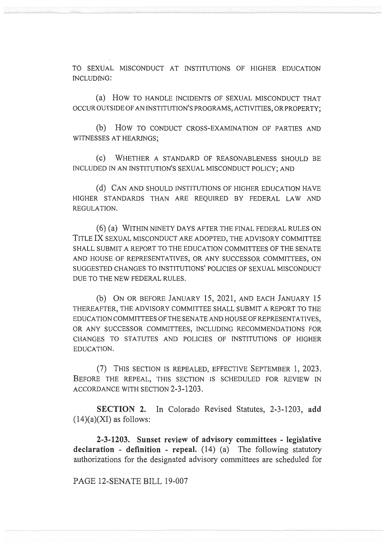TO SEXUAL MISCONDUCT AT INSTITUTIONS OF HIGHER EDUCATION INCLUDING:

(a) How TO HANDLE INCIDENTS OF SEXUAL MISCONDUCT THAT OCCUR OUTSIDE OF AN INSTITUTION'S PROGRAMS, ACTIVITIES, OR PROPERTY;

(b) How TO CONDUCT CROSS-EXAMINATION OF PARTIES AND WITNESSES AT HEARINGS;

(c) WHETHER A STANDARD OF REASONABLENESS SHOULD BE INCLUDED IN AN INSTITUTION'S SEXUAL MISCONDUCT POLICY; AND

(d) CAN AND SHOULD INSTITUTIONS OF HIGHER EDUCATION HAVE HIGHER STANDARDS THAN ARE REQUIRED BY FEDERAL LAW AND REGULATION.

(6) (a) WITHIN NINETY DAYS AFTER THE FINAL FEDERAL RULES ON TITLE IX SEXUAL MISCONDUCT ARE ADOPTED, THE ADVISORY COMMITTEE SHALL SUBMIT A REPORT TO THE EDUCATION COMMITTEES OF THE SENATE AND HOUSE OF REPRESENTATIVES, OR ANY SUCCESSOR COMMITTEES, ON SUGGESTED CHANGES TO INSTITUTIONS' POLICIES OF SEXUAL MISCONDUCT DUE TO THE NEW FEDERAL RULES.

(b) ON OR BEFORE JANUARY 15, 2021, AND EACH JANUARY 15 THEREAFTER, THE ADVISORY COMMITTEE SHALL SUBMIT A REPORT TO THE EDUCATION COMMITTEES OF THE SENATE AND HOUSE OF REPRESENTATIVES, OR ANY SUCCESSOR COMMITTEES, INCLUDING RECOMMENDATIONS FOR CHANGES TO STATUTES AND POLICIES OF INSTITUTIONS OF HIGHER EDUCATION.

(7) THIS SECTION IS REPEALED, EFFECTIVE SEPTEMBER 1, 2023. BEFORE THE REPEAL, THIS SECTION IS SCHEDULED FOR REVIEW IN ACCORDANCE WITH SECTION 2-3-1203.

**SECTION 2.** In Colorado Revised Statutes, 2-3-1203, **add**   $(14)(a)$ (XI) as follows:

**2-3-1203. Sunset review of advisory committees - legislative declaration - definition - repeal.** (14) (a) The following statutory authorizations for the designated advisory committees are scheduled for

PAGE 12-SENATE BILL 19-007